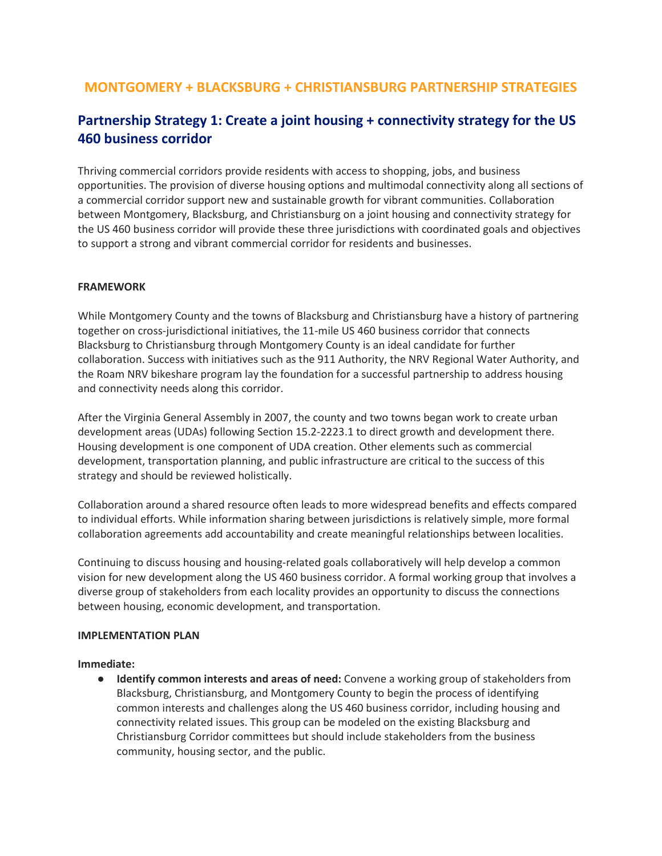# **MONTGOMERY + BLACKSBURG + CHRISTIANSBURG PARTNERSHIP STRATEGIES**

# **Partnership Strategy 1: Create a joint housing + connectivity strategy for the US 460 business corridor**

Thriving commercial corridors provide residents with access to shopping, jobs, and business opportunities. The provision of diverse housing options and multimodal connectivity along all sections of a commercial corridor support new and sustainable growth for vibrant communities. Collaboration between Montgomery, Blacksburg, and Christiansburg on a joint housing and connectivity strategy for the US 460 business corridor will provide these three jurisdictions with coordinated goals and objectives to support a strong and vibrant commercial corridor for residents and businesses.

#### **FRAMEWORK**

While Montgomery County and the towns of Blacksburg and Christiansburg have a history of partnering together on cross-jurisdictional initiatives, the 11-mile US 460 business corridor that connects Blacksburg to Christiansburg through Montgomery County is an ideal candidate for further collaboration. Success with initiatives such as the 911 Authority, the NRV Regional Water Authority, and the Roam NRV bikeshare program lay the foundation for a successful partnership to address housing and connectivity needs along this corridor.

After the Virginia General Assembly in 2007, the county and two towns began work to create urban development areas (UDAs) following Section 15.2-2223.1 to direct growth and development there. Housing development is one component of UDA creation. Other elements such as commercial development, transportation planning, and public infrastructure are critical to the success of this strategy and should be reviewed holistically.

Collaboration around a shared resource often leads to more widespread benefits and effects compared to individual efforts. While information sharing between jurisdictions is relatively simple, more formal collaboration agreements add accountability and create meaningful relationships between localities.

Continuing to discuss housing and housing-related goals collaboratively will help develop a common vision for new development along the US 460 business corridor. A formal working group that involves a diverse group of stakeholders from each locality provides an opportunity to discuss the connections between housing, economic development, and transportation.

#### **IMPLEMENTATION PLAN**

**Immediate:**

● **Identify common interests and areas of need:** Convene a working group of stakeholders from Blacksburg, Christiansburg, and Montgomery County to begin the process of identifying common interests and challenges along the US 460 business corridor, including housing and connectivity related issues. This group can be modeled on the existing Blacksburg and Christiansburg Corridor committees but should include stakeholders from the business community, housing sector, and the public.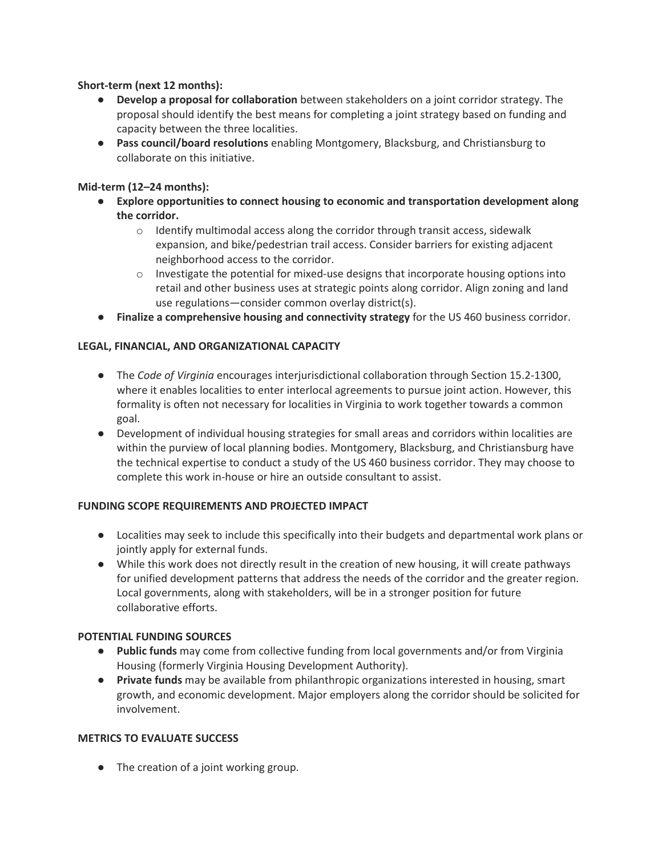# **Short-term (next 12 months):**

- **Develop a proposal for collaboration** between stakeholders on a joint corridor strategy. The proposal should identify the best means for completing a joint strategy based on funding and capacity between the three localities.
- **Pass council/board resolutions** enabling Montgomery, Blacksburg, and Christiansburg to collaborate on this initiative.

# **Mid-term (12–24 months):**

- **Explore opportunities to connect housing to economic and transportation development along the corridor.**
	- $\circ$  Identify multimodal access along the corridor through transit access, sidewalk expansion, and bike/pedestrian trail access. Consider barriers for existing adjacent neighborhood access to the corridor.
	- $\circ$  Investigate the potential for mixed-use designs that incorporate housing options into retail and other business uses at strategic points along corridor. Align zoning and land use regulations—consider common overlay district(s).
- **Finalize a comprehensive housing and connectivity strategy** for the US 460 business corridor.

# **LEGAL, FINANCIAL, AND ORGANIZATIONAL CAPACITY**

- The *Code of Virginia* encourages interjurisdictional collaboration through Section 15.2-1300, where it enables localities to enter interlocal agreements to pursue joint action. However, this formality is often not necessary for localities in Virginia to work together towards a common goal.
- Development of individual housing strategies for small areas and corridors within localities are within the purview of local planning bodies. Montgomery, Blacksburg, and Christiansburg have the technical expertise to conduct a study of the US 460 business corridor. They may choose to complete this work in-house or hire an outside consultant to assist.

#### **FUNDING SCOPE REQUIREMENTS AND PROJECTED IMPACT**

- Localities may seek to include this specifically into their budgets and departmental work plans or jointly apply for external funds.
- While this work does not directly result in the creation of new housing, it will create pathways for unified development patterns that address the needs of the corridor and the greater region. Local governments, along with stakeholders, will be in a stronger position for future collaborative efforts.

#### **POTENTIAL FUNDING SOURCES**

- **Public funds** may come from collective funding from local governments and/or from Virginia Housing (formerly Virginia Housing Development Authority).
- **Private funds** may be available from philanthropic organizations interested in housing, smart growth, and economic development. Major employers along the corridor should be solicited for involvement.

## **METRICS TO EVALUATE SUCCESS**

● The creation of a joint working group.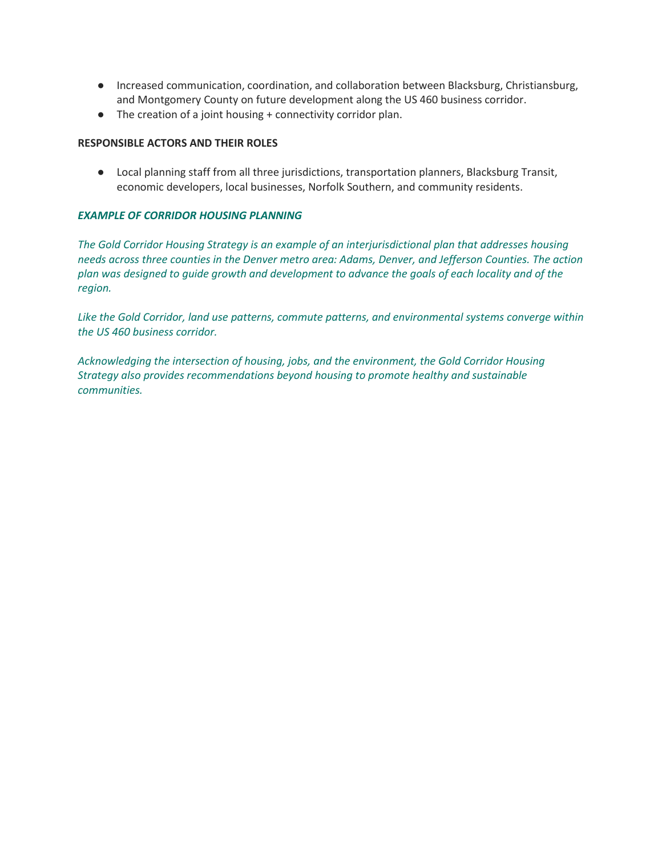- Increased communication, coordination, and collaboration between Blacksburg, Christiansburg, and Montgomery County on future development along the US 460 business corridor.
- The creation of a joint housing + connectivity corridor plan.

#### **RESPONSIBLE ACTORS AND THEIR ROLES**

● Local planning staff from all three jurisdictions, transportation planners, Blacksburg Transit, economic developers, local businesses, Norfolk Southern, and community residents.

#### *EXAMPLE OF CORRIDOR HOUSING PLANNING*

*The Gold Corridor Housing Strategy is an example of an interjurisdictional plan that addresses housing needs across three counties in the Denver metro area: Adams, Denver, and Jefferson Counties. The action plan was designed to guide growth and development to advance the goals of each locality and of the region.*

*Like the Gold Corridor, land use patterns, commute patterns, and environmental systems converge within the US 460 business corridor.*

*Acknowledging the intersection of housing, jobs, and the environment, the Gold Corridor Housing Strategy also provides recommendations beyond housing to promote healthy and sustainable communities.*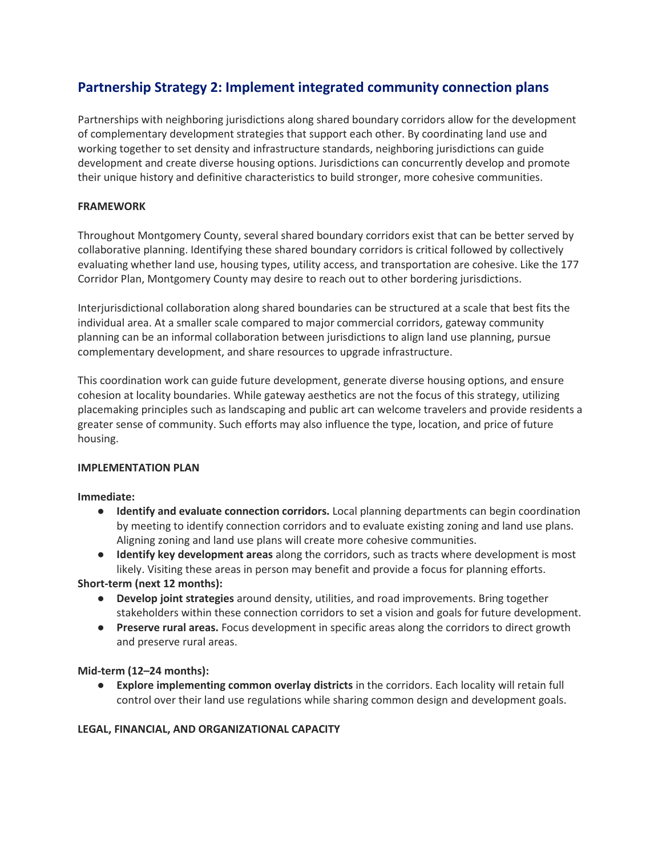# **Partnership Strategy 2: Implement integrated community connection plans**

Partnerships with neighboring jurisdictions along shared boundary corridors allow for the development of complementary development strategies that support each other. By coordinating land use and working together to set density and infrastructure standards, neighboring jurisdictions can guide development and create diverse housing options. Jurisdictions can concurrently develop and promote their unique history and definitive characteristics to build stronger, more cohesive communities.

# **FRAMEWORK**

Throughout Montgomery County, several shared boundary corridors exist that can be better served by collaborative planning. Identifying these shared boundary corridors is critical followed by collectively evaluating whether land use, housing types, utility access, and transportation are cohesive. Like the 177 Corridor Plan, Montgomery County may desire to reach out to other bordering jurisdictions.

Interjurisdictional collaboration along shared boundaries can be structured at a scale that best fits the individual area. At a smaller scale compared to major commercial corridors, gateway community planning can be an informal collaboration between jurisdictions to align land use planning, pursue complementary development, and share resources to upgrade infrastructure.

This coordination work can guide future development, generate diverse housing options, and ensure cohesion at locality boundaries. While gateway aesthetics are not the focus of this strategy, utilizing placemaking principles such as landscaping and public art can welcome travelers and provide residents a greater sense of community. Such efforts may also influence the type, location, and price of future housing.

#### **IMPLEMENTATION PLAN**

**Immediate:**

- **Identify and evaluate connection corridors.** Local planning departments can begin coordination by meeting to identify connection corridors and to evaluate existing zoning and land use plans. Aligning zoning and land use plans will create more cohesive communities.
- **Identify key development areas** along the corridors, such as tracts where development is most likely. Visiting these areas in person may benefit and provide a focus for planning efforts.

**Short-term (next 12 months):**

- **Develop joint strategies** around density, utilities, and road improvements. Bring together stakeholders within these connection corridors to set a vision and goals for future development.
- **Preserve rural areas.** Focus development in specific areas along the corridors to direct growth and preserve rural areas.

#### **Mid-term (12–24 months):**

● **Explore implementing common overlay districts** in the corridors. Each locality will retain full control over their land use regulations while sharing common design and development goals.

#### **LEGAL, FINANCIAL, AND ORGANIZATIONAL CAPACITY**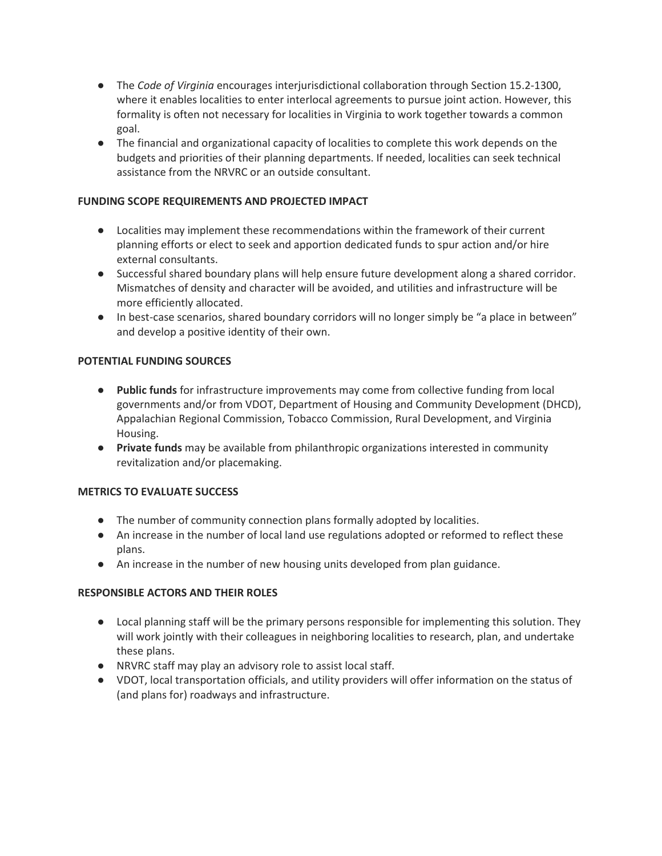- The *Code of Virginia* encourages interjurisdictional collaboration through Section 15.2-1300, where it enables localities to enter interlocal agreements to pursue joint action. However, this formality is often not necessary for localities in Virginia to work together towards a common goal.
- The financial and organizational capacity of localities to complete this work depends on the budgets and priorities of their planning departments. If needed, localities can seek technical assistance from the NRVRC or an outside consultant.

# **FUNDING SCOPE REQUIREMENTS AND PROJECTED IMPACT**

- Localities may implement these recommendations within the framework of their current planning efforts or elect to seek and apportion dedicated funds to spur action and/or hire external consultants.
- Successful shared boundary plans will help ensure future development along a shared corridor. Mismatches of density and character will be avoided, and utilities and infrastructure will be more efficiently allocated.
- In best-case scenarios, shared boundary corridors will no longer simply be "a place in between" and develop a positive identity of their own.

#### **POTENTIAL FUNDING SOURCES**

- **Public funds** for infrastructure improvements may come from collective funding from local governments and/or from VDOT, Department of Housing and Community Development (DHCD), Appalachian Regional Commission, Tobacco Commission, Rural Development, and Virginia Housing.
- **Private funds** may be available from philanthropic organizations interested in community revitalization and/or placemaking.

#### **METRICS TO EVALUATE SUCCESS**

- The number of community connection plans formally adopted by localities.
- An increase in the number of local land use regulations adopted or reformed to reflect these plans.
- An increase in the number of new housing units developed from plan guidance.

#### **RESPONSIBLE ACTORS AND THEIR ROLES**

- Local planning staff will be the primary persons responsible for implementing this solution. They will work jointly with their colleagues in neighboring localities to research, plan, and undertake these plans.
- NRVRC staff may play an advisory role to assist local staff.
- VDOT, local transportation officials, and utility providers will offer information on the status of (and plans for) roadways and infrastructure.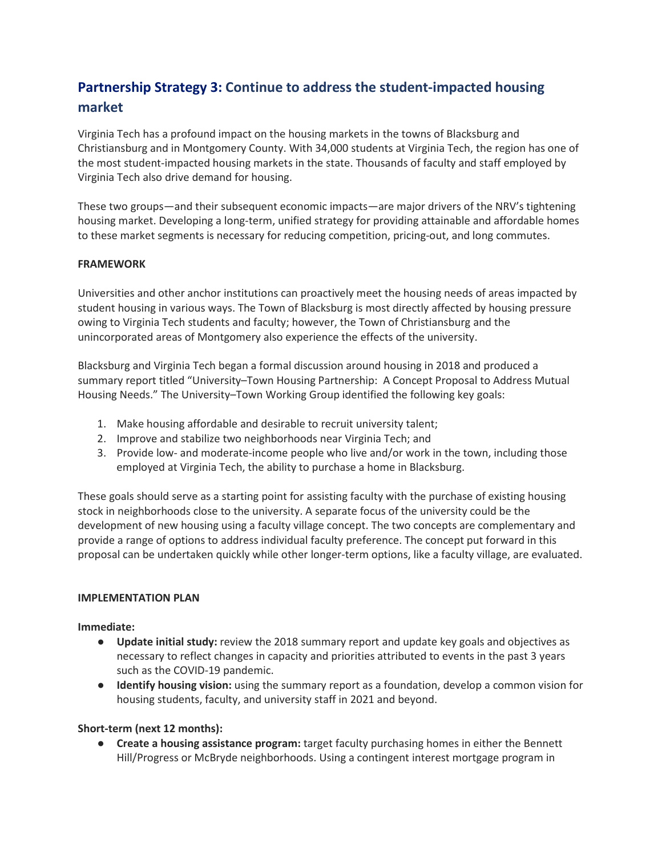# **Partnership Strategy 3: Continue to address the student-impacted housing market**

Virginia Tech has a profound impact on the housing markets in the towns of Blacksburg and Christiansburg and in Montgomery County. With 34,000 students at Virginia Tech, the region has one of the most student-impacted housing markets in the state. Thousands of faculty and staff employed by Virginia Tech also drive demand for housing.

These two groups—and their subsequent economic impacts—are major drivers of the NRV's tightening housing market. Developing a long-term, unified strategy for providing attainable and affordable homes to these market segments is necessary for reducing competition, pricing-out, and long commutes.

# **FRAMEWORK**

Universities and other anchor institutions can proactively meet the housing needs of areas impacted by student housing in various ways. The Town of Blacksburg is most directly affected by housing pressure owing to Virginia Tech students and faculty; however, the Town of Christiansburg and the unincorporated areas of Montgomery also experience the effects of the university.

Blacksburg and Virginia Tech began a formal discussion around housing in 2018 and produced a summary report titled "University–Town Housing Partnership: A Concept Proposal to Address Mutual Housing Needs." The University–Town Working Group identified the following key goals:

- 1. Make housing affordable and desirable to recruit university talent;
- 2. Improve and stabilize two neighborhoods near Virginia Tech; and
- 3. Provide low- and moderate-income people who live and/or work in the town, including those employed at Virginia Tech, the ability to purchase a home in Blacksburg.

These goals should serve as a starting point for assisting faculty with the purchase of existing housing stock in neighborhoods close to the university. A separate focus of the university could be the development of new housing using a faculty village concept. The two concepts are complementary and provide a range of options to address individual faculty preference. The concept put forward in this proposal can be undertaken quickly while other longer-term options, like a faculty village, are evaluated.

#### **IMPLEMENTATION PLAN**

#### **Immediate:**

- **Update initial study:** review the 2018 summary report and update key goals and objectives as necessary to reflect changes in capacity and priorities attributed to events in the past 3 years such as the COVID-19 pandemic.
- **Identify housing vision:** using the summary report as a foundation, develop a common vision for housing students, faculty, and university staff in 2021 and beyond.

#### **Short-term (next 12 months):**

● **Create a housing assistance program:** target faculty purchasing homes in either the Bennett Hill/Progress or McBryde neighborhoods. Using a contingent interest mortgage program in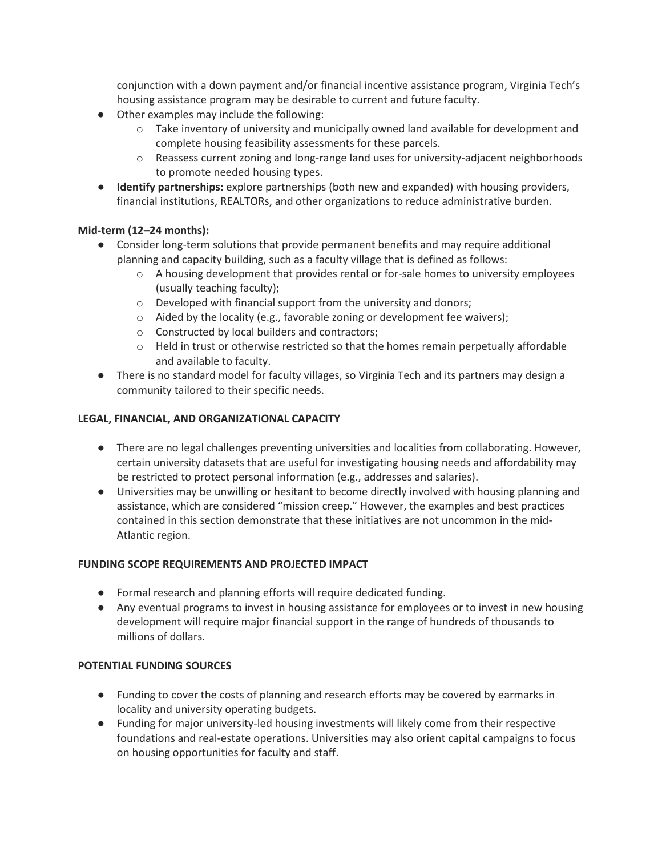conjunction with a down payment and/or financial incentive assistance program, Virginia Tech's housing assistance program may be desirable to current and future faculty.

- Other examples may include the following:
	- $\circ$  Take inventory of university and municipally owned land available for development and complete housing feasibility assessments for these parcels.
	- $\circ$  Reassess current zoning and long-range land uses for university-adjacent neighborhoods to promote needed housing types.
- **Identify partnerships:** explore partnerships (both new and expanded) with housing providers, financial institutions, REALTORs, and other organizations to reduce administrative burden.

# **Mid-term (12–24 months):**

- Consider long-term solutions that provide permanent benefits and may require additional planning and capacity building, such as a faculty village that is defined as follows:
	- $\circ$  A housing development that provides rental or for-sale homes to university employees (usually teaching faculty);
	- o Developed with financial support from the university and donors;
	- o Aided by the locality (e.g., favorable zoning or development fee waivers);
	- o Constructed by local builders and contractors;
	- $\circ$  Held in trust or otherwise restricted so that the homes remain perpetually affordable and available to faculty.
- There is no standard model for faculty villages, so Virginia Tech and its partners may design a community tailored to their specific needs.

# **LEGAL, FINANCIAL, AND ORGANIZATIONAL CAPACITY**

- There are no legal challenges preventing universities and localities from collaborating. However, certain university datasets that are useful for investigating housing needs and affordability may be restricted to protect personal information (e.g., addresses and salaries).
- Universities may be unwilling or hesitant to become directly involved with housing planning and assistance, which are considered "mission creep." However, the examples and best practices contained in this section demonstrate that these initiatives are not uncommon in the mid-Atlantic region.

#### **FUNDING SCOPE REQUIREMENTS AND PROJECTED IMPACT**

- Formal research and planning efforts will require dedicated funding.
- Any eventual programs to invest in housing assistance for employees or to invest in new housing development will require major financial support in the range of hundreds of thousands to millions of dollars.

#### **POTENTIAL FUNDING SOURCES**

- Funding to cover the costs of planning and research efforts may be covered by earmarks in locality and university operating budgets.
- Funding for major university-led housing investments will likely come from their respective foundations and real-estate operations. Universities may also orient capital campaigns to focus on housing opportunities for faculty and staff.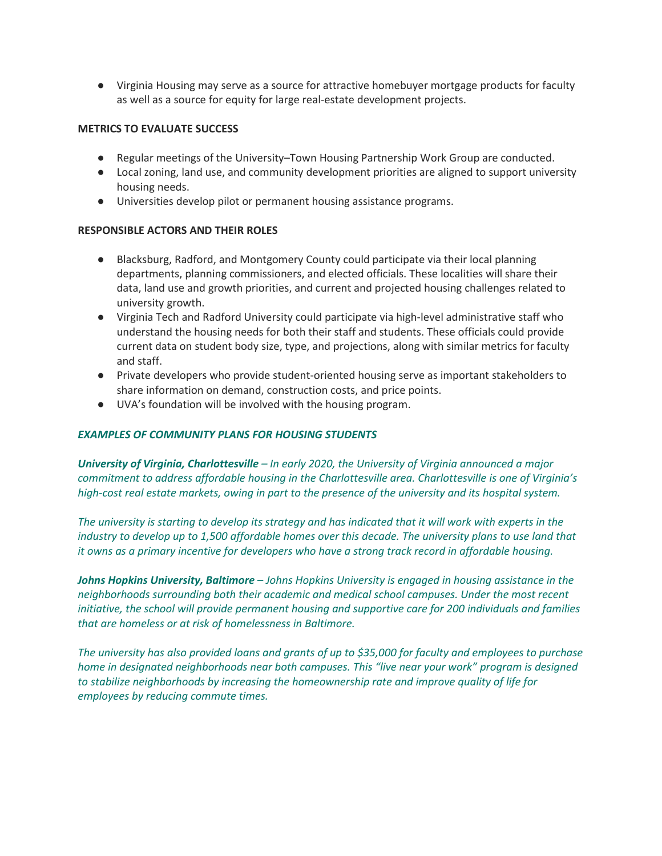● Virginia Housing may serve as a source for attractive homebuyer mortgage products for faculty as well as a source for equity for large real-estate development projects.

#### **METRICS TO EVALUATE SUCCESS**

- Regular meetings of the University–Town Housing Partnership Work Group are conducted.
- Local zoning, land use, and community development priorities are aligned to support university housing needs.
- Universities develop pilot or permanent housing assistance programs.

#### **RESPONSIBLE ACTORS AND THEIR ROLES**

- Blacksburg, Radford, and Montgomery County could participate via their local planning departments, planning commissioners, and elected officials. These localities will share their data, land use and growth priorities, and current and projected housing challenges related to university growth.
- Virginia Tech and Radford University could participate via high-level administrative staff who understand the housing needs for both their staff and students. These officials could provide current data on student body size, type, and projections, along with similar metrics for faculty and staff.
- Private developers who provide student-oriented housing serve as important stakeholders to share information on demand, construction costs, and price points.
- UVA's foundation will be involved with the housing program.

#### *EXAMPLES OF COMMUNITY PLANS FOR HOUSING STUDENTS*

*University of Virginia, Charlottesville – In early 2020, the University of Virginia announced a major commitment to address affordable housing in the Charlottesville area. Charlottesville is one of Virginia's high-cost real estate markets, owing in part to the presence of the university and its hospital system.*

*The university is starting to develop its strategy and has indicated that it will work with experts in the industry to develop up to 1,500 affordable homes over this decade. The university plans to use land that it owns as a primary incentive for developers who have a strong track record in affordable housing.* 

*Johns Hopkins University, Baltimore – Johns Hopkins University is engaged in housing assistance in the neighborhoods surrounding both their academic and medical school campuses. Under the most recent initiative, the school will provide permanent housing and supportive care for 200 individuals and families that are homeless or at risk of homelessness in Baltimore.*

*The university has also provided loans and grants of up to \$35,000 for faculty and employees to purchase home in designated neighborhoods near both campuses. This "live near your work" program is designed to stabilize neighborhoods by increasing the homeownership rate and improve quality of life for employees by reducing commute times.*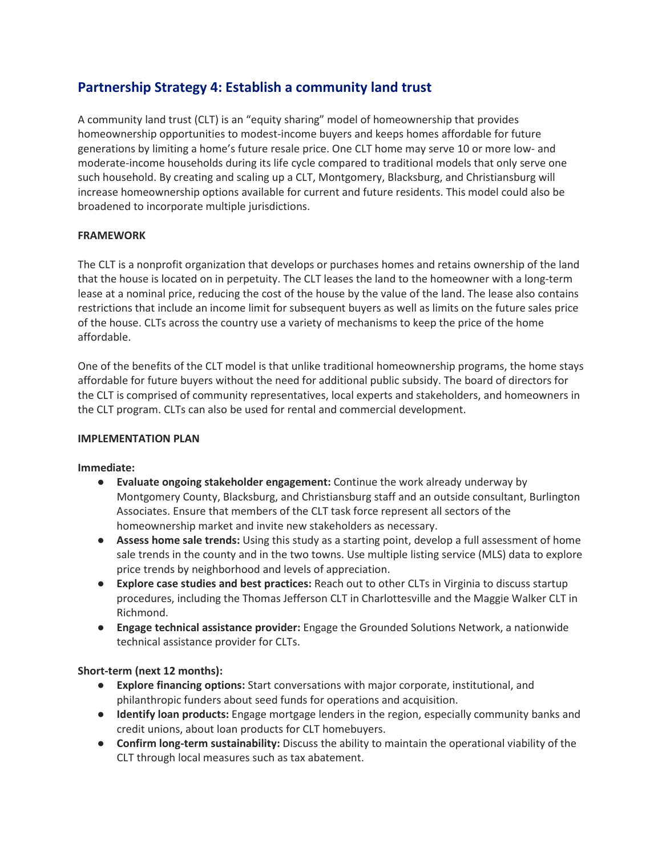# **Partnership Strategy 4: Establish a community land trust**

A community land trust (CLT) is an "equity sharing" model of homeownership that provides homeownership opportunities to modest-income buyers and keeps homes affordable for future generations by limiting a home's future resale price. One CLT home may serve 10 or more low- and moderate-income households during its life cycle compared to traditional models that only serve one such household. By creating and scaling up a CLT, Montgomery, Blacksburg, and Christiansburg will increase homeownership options available for current and future residents. This model could also be broadened to incorporate multiple jurisdictions.

# **FRAMEWORK**

The CLT is a nonprofit organization that develops or purchases homes and retains ownership of the land that the house is located on in perpetuity. The CLT leases the land to the homeowner with a long-term lease at a nominal price, reducing the cost of the house by the value of the land. The lease also contains restrictions that include an income limit for subsequent buyers as well as limits on the future sales price of the house. CLTs across the country use a variety of mechanisms to keep the price of the home affordable.

One of the benefits of the CLT model is that unlike traditional homeownership programs, the home stays affordable for future buyers without the need for additional public subsidy. The board of directors for the CLT is comprised of community representatives, local experts and stakeholders, and homeowners in the CLT program. CLTs can also be used for rental and commercial development.

#### **IMPLEMENTATION PLAN**

#### **Immediate:**

- **Evaluate ongoing stakeholder engagement:** Continue the work already underway by Montgomery County, Blacksburg, and Christiansburg staff and an outside consultant, Burlington Associates. Ensure that members of the CLT task force represent all sectors of the homeownership market and invite new stakeholders as necessary.
- **Assess home sale trends:** Using this study as a starting point, develop a full assessment of home sale trends in the county and in the two towns. Use multiple listing service (MLS) data to explore price trends by neighborhood and levels of appreciation.
- **Explore case studies and best practices:** Reach out to other CLTs in Virginia to discuss startup procedures, including the Thomas Jefferson CLT in Charlottesville and the Maggie Walker CLT in Richmond.
- **Engage technical assistance provider:** Engage the Grounded Solutions Network, a nationwide technical assistance provider for CLTs.

# **Short-term (next 12 months):**

- **Explore financing options:** Start conversations with major corporate, institutional, and philanthropic funders about seed funds for operations and acquisition.
- **Identify loan products:** Engage mortgage lenders in the region, especially community banks and credit unions, about loan products for CLT homebuyers.
- **Confirm long-term sustainability:** Discuss the ability to maintain the operational viability of the CLT through local measures such as tax abatement.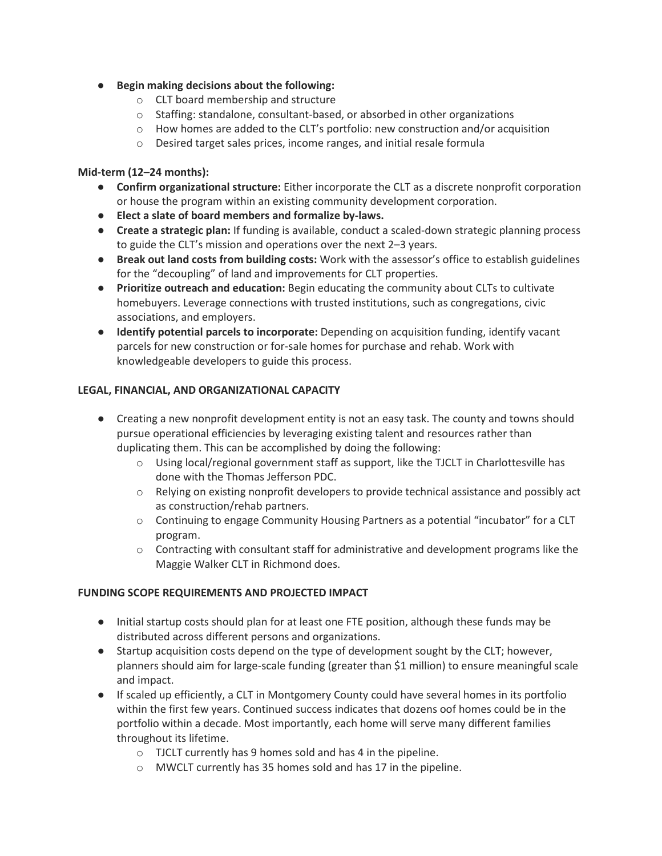# ● **Begin making decisions about the following:**

- o CLT board membership and structure
- $\circ$  Staffing: standalone, consultant-based, or absorbed in other organizations
- $\circ$  How homes are added to the CLT's portfolio: new construction and/or acquisition
- o Desired target sales prices, income ranges, and initial resale formula

# **Mid-term (12–24 months):**

- **Confirm organizational structure:** Either incorporate the CLT as a discrete nonprofit corporation or house the program within an existing community development corporation.
- **Elect a slate of board members and formalize by-laws.**
- **Create a strategic plan:** If funding is available, conduct a scaled-down strategic planning process to guide the CLT's mission and operations over the next 2–3 years.
- **Break out land costs from building costs:** Work with the assessor's office to establish guidelines for the "decoupling" of land and improvements for CLT properties.
- **Prioritize outreach and education:** Begin educating the community about CLTs to cultivate homebuyers. Leverage connections with trusted institutions, such as congregations, civic associations, and employers.
- **Identify potential parcels to incorporate:** Depending on acquisition funding, identify vacant parcels for new construction or for-sale homes for purchase and rehab. Work with knowledgeable developers to guide this process.

# **LEGAL, FINANCIAL, AND ORGANIZATIONAL CAPACITY**

- Creating a new nonprofit development entity is not an easy task. The county and towns should pursue operational efficiencies by leveraging existing talent and resources rather than duplicating them. This can be accomplished by doing the following:
	- $\circ$  Using local/regional government staff as support, like the TJCLT in Charlottesville has done with the Thomas Jefferson PDC.
	- $\circ$  Relying on existing nonprofit developers to provide technical assistance and possibly act as construction/rehab partners.
	- o Continuing to engage Community Housing Partners as a potential "incubator" for a CLT program.
	- $\circ$  Contracting with consultant staff for administrative and development programs like the Maggie Walker CLT in Richmond does.

#### **FUNDING SCOPE REQUIREMENTS AND PROJECTED IMPACT**

- Initial startup costs should plan for at least one FTE position, although these funds may be distributed across different persons and organizations.
- Startup acquisition costs depend on the type of development sought by the CLT; however, planners should aim for large-scale funding (greater than \$1 million) to ensure meaningful scale and impact.
- If scaled up efficiently, a CLT in Montgomery County could have several homes in its portfolio within the first few years. Continued success indicates that dozens oof homes could be in the portfolio within a decade. Most importantly, each home will serve many different families throughout its lifetime.
	- o TJCLT currently has 9 homes sold and has 4 in the pipeline.
	- o MWCLT currently has 35 homes sold and has 17 in the pipeline.